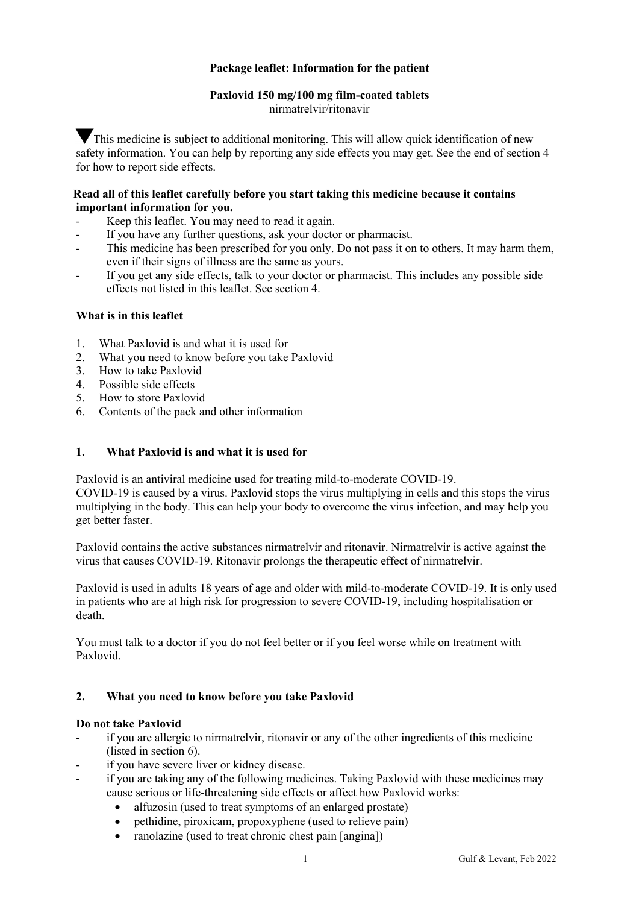# **Package leaflet: Information for the patient**

# **Paxlovid 150 mg/100 mg film-coated tablets**

nirmatrelvir/ritonavir

This medicine is subject to additional monitoring. This will allow quick identification of new safety information. You can help by reporting any side effects you may get. See the end of section 4 for how to report side effects.

### **Read all of this leaflet carefully before you start taking this medicine because it contains important information for you.**

- Keep this leaflet. You may need to read it again.
- If you have any further questions, ask your doctor or pharmacist.
- This medicine has been prescribed for you only. Do not pass it on to others. It may harm them, even if their signs of illness are the same as yours.
- If you get any side effects, talk to your doctor or pharmacist. This includes any possible side effects not listed in this leaflet. See section 4.

### **What is in this leaflet**

- 1. What Paxlovid is and what it is used for
- 2. What you need to know before you take Paxlovid
- 3. How to take Paxlovid
- 4. Possible side effects
- 5. How to store Paxlovid
- 6. Contents of the pack and other information

### **1. What Paxlovid is and what it is used for**

Paxlovid is an antiviral medicine used for treating mild-to-moderate COVID-19.

COVID-19 is caused by a virus. Paxlovid stops the virus multiplying in cells and this stops the virus multiplying in the body. This can help your body to overcome the virus infection, and may help you get better faster.

Paxlovid contains the active substances nirmatrelvir and ritonavir. Nirmatrelvir is active against the virus that causes COVID-19. Ritonavir prolongs the therapeutic effect of nirmatrelvir.

Paxlovid is used in adults 18 years of age and older with mild-to-moderate COVID-19. It is only used in patients who are at high risk for progression to severe COVID-19, including hospitalisation or death.

You must talk to a doctor if you do not feel better or if you feel worse while on treatment with Paxlovid.

### **2. What you need to know before you take Paxlovid**

### **Do not take Paxlovid**

- if you are allergic to nirmatrelvir, ritonavir or any of the other ingredients of this medicine (listed in section 6).
- if you have severe liver or kidney disease.
- if you are taking any of the following medicines. Taking Paxlovid with these medicines may cause serious or life-threatening side effects or affect how Paxlovid works:
	- alfuzosin (used to treat symptoms of an enlarged prostate)
	- pethidine, piroxicam, propoxyphene (used to relieve pain)
	- ranolazine (used to treat chronic chest pain [angina])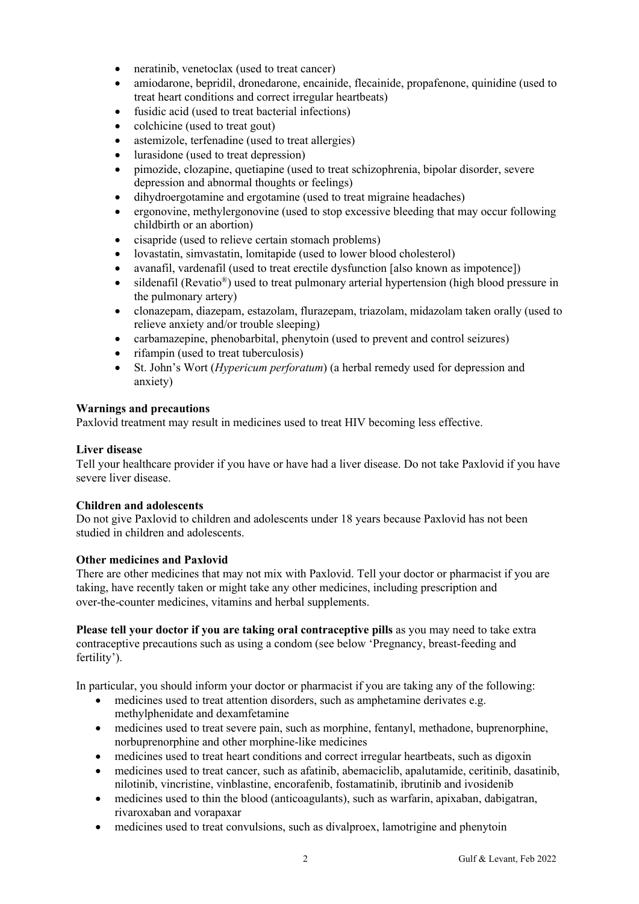- neratinib, venetoclax (used to treat cancer)
- amiodarone, bepridil, dronedarone, encainide, flecainide, propafenone, quinidine (used to treat heart conditions and correct irregular heartbeats)
- fusidic acid (used to treat bacterial infections)
- colchicine (used to treat gout)
- astemizole, terfenadine (used to treat allergies)
- lurasidone (used to treat depression)
- pimozide, clozapine, quetiapine (used to treat schizophrenia, bipolar disorder, severe depression and abnormal thoughts or feelings)
- dihydroergotamine and ergotamine (used to treat migraine headaches)
- ergonovine, methylergonovine (used to stop excessive bleeding that may occur following childbirth or an abortion)
- cisapride (used to relieve certain stomach problems)
- lovastatin, simvastatin, lomitapide (used to lower blood cholesterol)
- avanafil, vardenafil (used to treat erectile dysfunction [also known as impotence])
- sildenafil (Revatio<sup>®</sup>) used to treat pulmonary arterial hypertension (high blood pressure in the pulmonary artery)
- clonazepam, diazepam, estazolam, flurazepam, triazolam, midazolam taken orally (used to relieve anxiety and/or trouble sleeping)
- carbamazepine, phenobarbital, phenytoin (used to prevent and control seizures)
- rifampin (used to treat tuberculosis)
- St. John's Wort (*Hypericum perforatum*) (a herbal remedy used for depression and anxiety)

### **Warnings and precautions**

Paxlovid treatment may result in medicines used to treat HIV becoming less effective.

### **Liver disease**

Tell your healthcare provider if you have or have had a liver disease. Do not take Paxlovid if you have severe liver disease.

### **Children and adolescents**

Do not give Paxlovid to children and adolescents under 18 years because Paxlovid has not been studied in children and adolescents.

### **Other medicines and Paxlovid**

There are other medicines that may not mix with Paxlovid. Tell your doctor or pharmacist if you are taking, have recently taken or might take any other medicines, including prescription and over-the-counter medicines, vitamins and herbal supplements.

**Please tell your doctor if you are taking oral contraceptive pills** as you may need to take extra contraceptive precautions such as using a condom (see below 'Pregnancy, breast-feeding and fertility').

In particular, you should inform your doctor or pharmacist if you are taking any of the following:

- medicines used to treat attention disorders, such as amphetamine derivates e.g. methylphenidate and dexamfetamine
- medicines used to treat severe pain, such as morphine, fentanyl, methadone, buprenorphine, norbuprenorphine and other morphine-like medicines
- medicines used to treat heart conditions and correct irregular heartbeats, such as digoxin
- medicines used to treat cancer, such as afatinib, abemaciclib, apalutamide, ceritinib, dasatinib, nilotinib, vincristine, vinblastine, encorafenib, fostamatinib, ibrutinib and ivosidenib
- medicines used to thin the blood (anticoagulants), such as warfarin, apixaban, dabigatran, rivaroxaban and vorapaxar
- medicines used to treat convulsions, such as divalproex, lamotrigine and phenytoin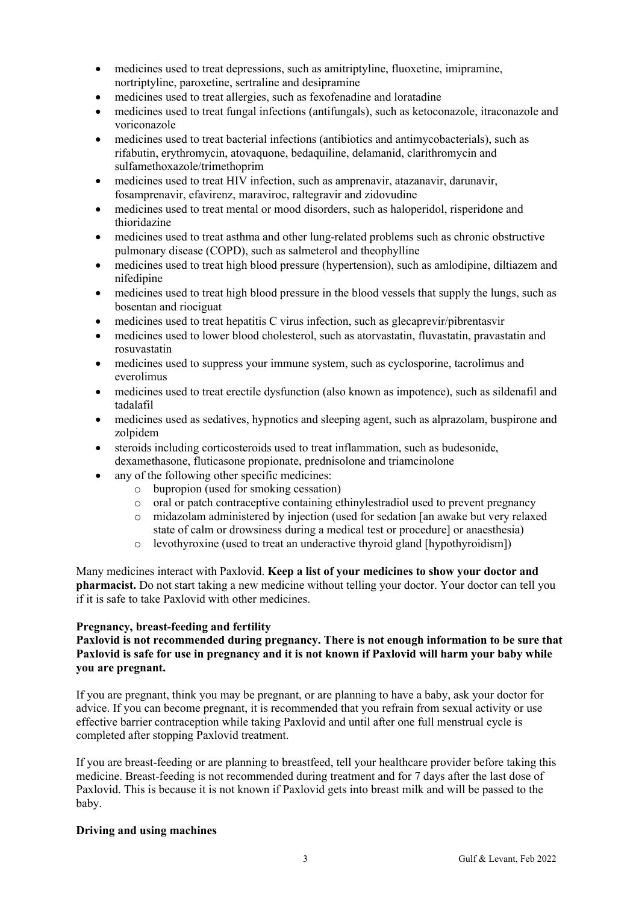- medicines used to treat depressions, such as amitriptyline, fluoxetine, imipramine, nortriptyline, paroxetine, sertraline and desipramine
- medicines used to treat allergies, such as fexofenadine and loratadine
- medicines used to treat fungal infections (antifungals), such as ketoconazole, itraconazole and voriconazole
- medicines used to treat bacterial infections (antibiotics and antimycobacterials), such as rifabutin, erythromycin, atovaquone, bedaquiline, delamanid, clarithromycin and sulfamethoxazole/trimethoprim
- medicines used to treat HIV infection, such as amprenavir, atazanavir, darunavir, fosamprenavir, efavirenz, maraviroc, raltegravir and zidovudine
- medicines used to treat mental or mood disorders, such as haloperidol, risperidone and thioridazine
- medicines used to treat asthma and other lung-related problems such as chronic obstructive pulmonary disease (COPD), such as salmeterol and theophylline
- medicines used to treat high blood pressure (hypertension), such as amlodipine, diltiazem and nifedipine
- medicines used to treat high blood pressure in the blood vessels that supply the lungs, such as bosentan and riociguat
- medicines used to treat hepatitis C virus infection, such as glecaprevir/pibrentasvir
- medicines used to lower blood cholesterol, such as atorvastatin, fluvastatin, pravastatin and rosuvastatin
- medicines used to suppress your immune system, such as cyclosporine, tacrolimus and everolimus
- medicines used to treat erectile dysfunction (also known as impotence), such as sildenafil and tadalafil
- medicines used as sedatives, hypnotics and sleeping agent, such as alprazolam, buspirone and zolpidem
- steroids including corticosteroids used to treat inflammation, such as budesonide, dexamethasone, fluticasone propionate, prednisolone and triamcinolone
- any of the following other specific medicines:
	- o bupropion (used for smoking cessation)
	- o oral or patch contraceptive containing ethinylestradiol used to prevent pregnancy
	- o midazolam administered by injection (used for sedation [an awake but very relaxed state of calm or drowsiness during a medical test or procedure] or anaesthesia)
	- o levothyroxine (used to treat an underactive thyroid gland [hypothyroidism])

Many medicines interact with Paxlovid. **Keep a list of your medicines to show your doctor and pharmacist.** Do not start taking a new medicine without telling your doctor. Your doctor can tell you if it is safe to take Paxlovid with other medicines.

### **Pregnancy, breast-feeding and fertility**

# **Paxlovid is not recommended during pregnancy. There is not enough information to be sure that Paxlovid is safe for use in pregnancy and it is not known if Paxlovid will harm your baby while you are pregnant.**

If you are pregnant, think you may be pregnant, or are planning to have a baby, ask your doctor for advice. If you can become pregnant, it is recommended that you refrain from sexual activity or use effective barrier contraception while taking Paxlovid and until after one full menstrual cycle is completed after stopping Paxlovid treatment.

If you are breast-feeding or are planning to breastfeed, tell your healthcare provider before taking this medicine. Breast-feeding is not recommended during treatment and for 7 days after the last dose of Paxlovid. This is because it is not known if Paxlovid gets into breast milk and will be passed to the baby.

### **Driving and using machines**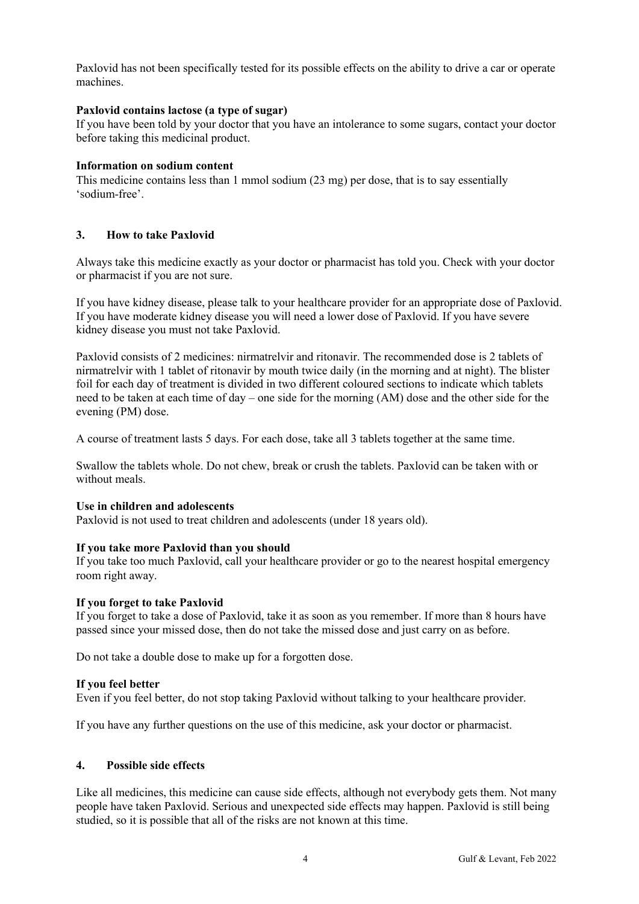Paxlovid has not been specifically tested for its possible effects on the ability to drive a car or operate machines.

### **Paxlovid contains lactose (a type of sugar)**

If you have been told by your doctor that you have an intolerance to some sugars, contact your doctor before taking this medicinal product.

### **Information on sodium content**

This medicine contains less than 1 mmol sodium (23 mg) per dose, that is to say essentially 'sodium-free'.

# **3. How to take Paxlovid**

Always take this medicine exactly as your doctor or pharmacist has told you. Check with your doctor or pharmacist if you are not sure.

If you have kidney disease, please talk to your healthcare provider for an appropriate dose of Paxlovid. If you have moderate kidney disease you will need a lower dose of Paxlovid. If you have severe kidney disease you must not take Paxlovid.

Paxlovid consists of 2 medicines: nirmatrelvir and ritonavir. The recommended dose is 2 tablets of nirmatrelvir with 1 tablet of ritonavir by mouth twice daily (in the morning and at night). The blister foil for each day of treatment is divided in two different coloured sections to indicate which tablets need to be taken at each time of day – one side for the morning (AM) dose and the other side for the evening (PM) dose.

A course of treatment lasts 5 days. For each dose, take all 3 tablets together at the same time.

Swallow the tablets whole. Do not chew, break or crush the tablets. Paxlovid can be taken with or without meals.

### **Use in children and adolescents**

Paxlovid is not used to treat children and adolescents (under 18 years old).

### **If you take more Paxlovid than you should**

If you take too much Paxlovid, call your healthcare provider or go to the nearest hospital emergency room right away.

### **If you forget to take Paxlovid**

If you forget to take a dose of Paxlovid, take it as soon as you remember. If more than 8 hours have passed since your missed dose, then do not take the missed dose and just carry on as before.

Do not take a double dose to make up for a forgotten dose.

### **If you feel better**

Even if you feel better, do not stop taking Paxlovid without talking to your healthcare provider.

If you have any further questions on the use of this medicine, ask your doctor or pharmacist.

### **4. Possible side effects**

Like all medicines, this medicine can cause side effects, although not everybody gets them. Not many people have taken Paxlovid. Serious and unexpected side effects may happen. Paxlovid is still being studied, so it is possible that all of the risks are not known at this time.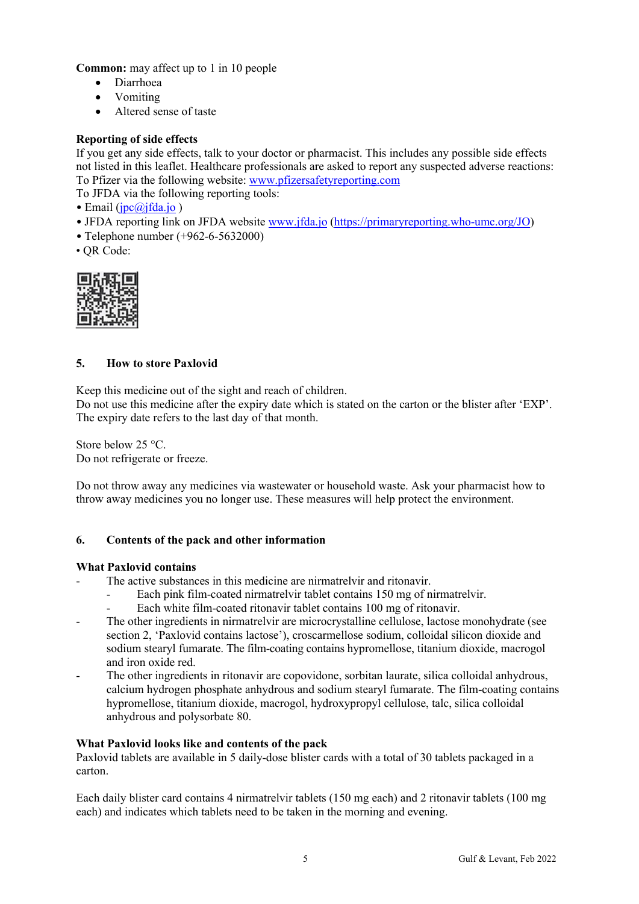**Common:** may affect up to 1 in 10 people

- Diarrhoea
- Vomiting
- Altered sense of taste

### **Reporting of side effects**

If you get any side effects, talk to your doctor or pharmacist. This includes any possible side effects not listed in this leaflet. Healthcare professionals are asked to report any suspected adverse reactions: To Pfizer via the following website: [www.pfizersafetyreporting.com](http://www.pfizersafetyreporting.com/)

To JFDA via the following reporting tools:

• Email ( $\text{ipc}(a)$ jfda.jo)

- JFDA reporting link on JFDA website [www.jfda.jo](http://www.jfda.jo/) [\(https://primaryreporting.who-umc.org/JO](https://primaryreporting.who-umc.org/JO))
- Telephone number (+962-6-5632000)
- QR Code:



### **5. How to store Paxlovid**

Keep this medicine out of the sight and reach of children.

Do not use this medicine after the expiry date which is stated on the carton or the blister after 'EXP'. The expiry date refers to the last day of that month.

Store below 25 °C. Do not refrigerate or freeze.

Do not throw away any medicines via wastewater or household waste. Ask your pharmacist how to throw away medicines you no longer use. These measures will help protect the environment.

### **6. Contents of the pack and other information**

### **What Paxlovid contains**

The active substances in this medicine are nirmatrelvir and ritonavir.

- Each pink film-coated nirmatrelvir tablet contains 150 mg of nirmatrelvir.
- Each white film-coated ritonavir tablet contains 100 mg of ritonavir.
- The other ingredients in nirmatrelvir are microcrystalline cellulose, lactose monohydrate (see section 2, 'Paxlovid contains lactose'), croscarmellose sodium, colloidal silicon dioxide and sodium stearyl fumarate. The film-coating contains hypromellose, titanium dioxide, macrogol and iron oxide red.
- The other ingredients in ritonavir are copovidone, sorbitan laurate, silica colloidal anhydrous, calcium hydrogen phosphate anhydrous and sodium stearyl fumarate. The film-coating contains hypromellose, titanium dioxide, macrogol, hydroxypropyl cellulose, talc, silica colloidal anhydrous and polysorbate 80.

### **What Paxlovid looks like and contents of the pack**

Paxlovid tablets are available in 5 daily-dose blister cards with a total of 30 tablets packaged in a carton.

Each daily blister card contains 4 nirmatrelvir tablets (150 mg each) and 2 ritonavir tablets (100 mg each) and indicates which tablets need to be taken in the morning and evening.